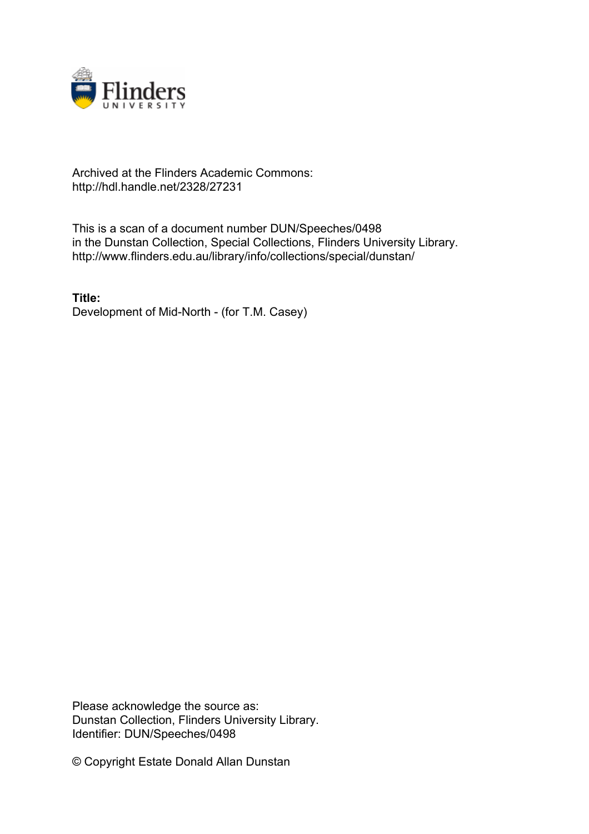

## Archived at the Flinders Academic Commons: http://hdl.handle.net/2328/27231

This is a scan of a document number DUN/Speeches/0498 in the Dunstan Collection, Special Collections, Flinders University Library. http://www.flinders.edu.au/library/info/collections/special/dunstan/

**Title:** Development of Mid-North - (for T.M. Casey)

Please acknowledge the source as: Dunstan Collection, Flinders University Library. Identifier: DUN/Speeches/0498

© Copyright Estate Donald Allan Dunstan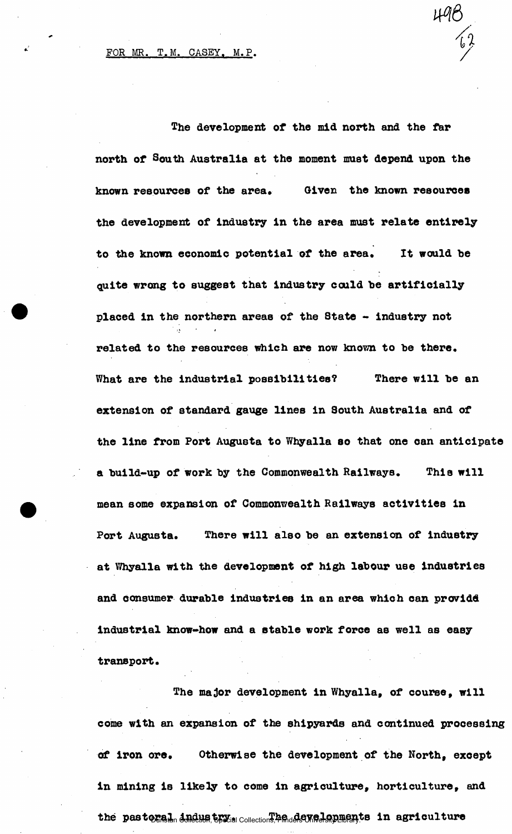The development of the mid north and the far north of South Australia at the moment must depend upon the known resources of the area. Given the known resources the development of Industry In the area must relate entirely to the known economic potential of the area. It would be quite wrong to suggest that industry could he artificially placed in the northern areas of the State - industry not i\* • *i*  related to the resources which are now known to be there. What are the industrial possibilities? There will be an extension of standard gauge lines in South Australia and of the line from Port Augusta to Whyalla so that one can anticipate a build-up of work by the Commonwealth Railways. This will mean some expansion of Commonwealth Railways activities in Port Augusta. There will also be an extension of industry at Whyalla with the development of high labour use industries and consumer durable industries in an area which can providd. industrial know-how and a stable work force as well as easy transport.

The major development in Whyalla, of course, will come with an expansion of the shipyards and continued processing of iron ore. Otherwise the development of the North, exoept in mining is likely to come in agriculture, horticulture, and the pastoral <del>industry</del> we collections, Flinders Resultance in agriculture